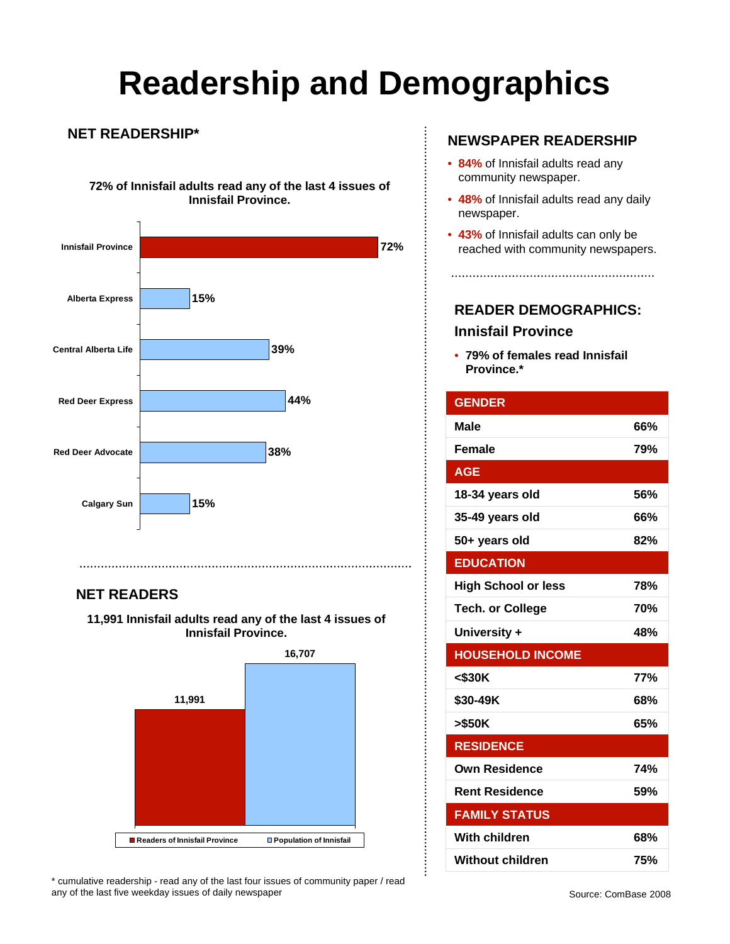# **Readership and Demographics**

 $\vdots$ 

#### **NET READERSHIP\***

**72% of Innisfail adults read any of the last 4 issues of Innisfail Province.**



### **NET READERS**

**11,991 Innisfail adults read any of the last 4 issues of Innisfail Province.** 



\* cumulative readership - read any of the last four issues of community paper / read any of the last five weekday issues of daily newspaper

#### **NEWSPAPER READERSHIP**

- **84%** of Innisfail adults read any community newspaper.
- **48%** of Innisfail adults read any daily newspaper.
- **43%** of Innisfail adults can only be reached with community newspapers.

### **READER DEMOGRAPHICS: Innisfail Province**

• **79% of females read Innisfail Province.\***

| <b>GENDER</b>              |            |
|----------------------------|------------|
| <b>Male</b>                | 66%        |
| <b>Female</b>              | 79%        |
| <b>AGE</b>                 |            |
| 18-34 years old            | 56%        |
| 35-49 years old            | 66%        |
| 50+ years old              | 82%        |
| <b>EDUCATION</b>           |            |
| <b>High School or less</b> | 78%        |
| <b>Tech. or College</b>    | 70%        |
| University +               | 48%        |
| <b>HOUSEHOLD INCOME</b>    |            |
| $<$ \$30K                  | <b>77%</b> |
| \$30-49K                   | 68%        |
| >\$50K                     | 65%        |
| <b>RESIDENCE</b>           |            |
| <b>Own Residence</b>       | 74%        |
| <b>Rent Residence</b>      | 59%        |
| <b>FAMILY STATUS</b>       |            |
| <b>With children</b>       | 68%        |
| <b>Without children</b>    | 75%        |